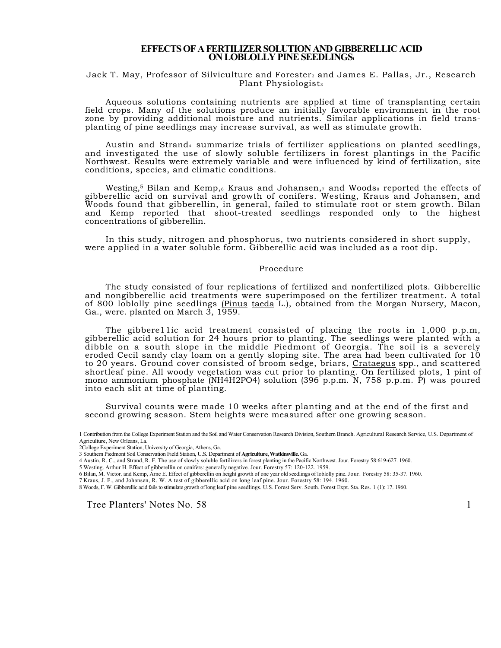# **EFFECTS OF A FERTILIZER SOLUTION AND GIBBERELLIC ACID ON LOBLOLLY PINE SEEDLINGS1**

## Jack T. May, Professor of Silviculture and Forester<sub>2</sub> and James E. Pallas, Jr., Research Plant Physiologist<sub>3</sub>

Aqueous solutions containing nutrients are applied at time of transplanting certain field crops. Many of the solutions produce an initially favorable environment in the root zone by providing additional moisture and nutrients. Similar applications in field transplanting of pine seedlings may increase survival, as well as stimulate growth.

Austin and Strand<sub>4</sub> summarize trials of fertilizer applications on planted seedlings, and investigated the use of slowly soluble fertilizers in forest plantings in the Pacific Northwest. Results were extremely variable and were influenced by kind of fertilization, site conditions, species, and climatic conditions.

Westing,<sup>5</sup> Bilan and Kemp,6 Kraus and Johansen,7 and Woods8 reported the effects of gibberellic acid on survival and growth of conifers. Westing, Kraus and Johansen, and Woods found that gibberellin, in general, failed to stimulate root or stem growth. Bilan and Kemp reported that shoot-treated seedlings responded only to the highest concentrations of gibberellin.

In this study, nitrogen and phosphorus, two nutrients considered in short supply, were applied in a water soluble form. Gibberellic acid was included as a root dip.

## Procedure

The study consisted of four replications of fertilized and nonfertilized plots. Gibberellic and nongibberellic acid treatments were superimposed on the fertilizer treatment. A total of 800 loblolly pine seedlings (Pinus taeda L.), obtained from the Morgan Nursery, Macon, Ga., were. planted on March 3, 1959.

The gibbere11ic acid treatment consisted of placing the roots in 1,000 p.p.m, gibberellic acid solution for 24 hours prior to planting. The seedlings were planted with a dibble on a south slope in the middle Piedmont of Georgia. The soil is a severely eroded Cecil sandy clay loam on a gently sloping site. The area had been cultivated for 10 to 20 years. Ground cover consisted of broom sedge, briars, Crataegus spp., and scattered shortleaf pine. All woody vegetation was cut prior to planting. On fertilized plots, 1 pint of mono ammonium phosphate (NH4H2PO4) solution (396 p.p.m. N, 758 p.p.m. P) was poured into each slit at time of planting.

Survival counts were made 10 weeks after planting and at the end of the first and second growing season. Stem heights were measured after one growing season.

2College Experiment Station, University of Georgia, Athens, Ga.

5 Westing. Arthur H. Effect of gibberellin on conifers: generally negative. Jour. Forestry 57: 120-122. 1959.<br>6 Bilan, M. Victor. and Kemp, Arne E. Effect of gibberellin on height growth of one year old seedlings of loblol

- 7 Kraus, J. F., and Johansen, R. W. A test of gibberellic acid on long leaf pine. Jour. Forestry 58: 194. 1960.
- 8 Woods, F. W. Gibberellic acid fails to stimulate growth of long leaf pine seedlings. U.S. Forest Serv. South. Forest Expt. Sta. Res. 1 (1): 17. 1960.

Tree Planters' Notes No. 58 1

<sup>1</sup> Contribution from the College Experiment Station and the Soil and Water Conservation Research Division, Southern Branch. Agricultural Research Service, U.S. Department of Agriculture, New Orleans, La.

<sup>3</sup> Southern Piedmont Soil Conservation Field Station, U.S. Department of **Agriculture, Watkinsville.** Ga.

<sup>4</sup> Austin, R. C., and Strand, R. F. The use of slowly soluble fertilizers in forest planting in the Pacific Northwest. Jour. Forestry 58:619-627. 1960.